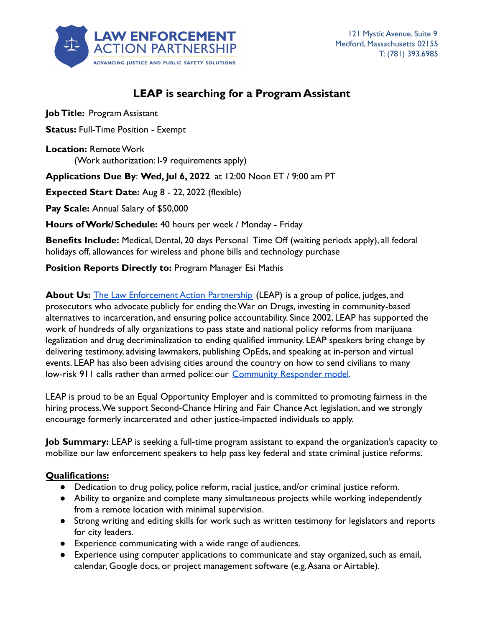

# **LEAP is searching for a Program Assistant**

**Job Title:** Program Assistant

**Status:** Full-Time Position - Exempt

**Location:** Remote Work (Work authorization: I-9 requirements apply)

**Applications Due By**: **Wed, Jul 6, 2022** at 12:00 Noon ET / 9:00 am PT

**Expected Start Date:** Aug 8 - 22, 2022 (flexible)

**Pay Scale:** Annual Salary of \$50,000

**Hours of Work/Schedule:** 40 hours per week / Monday - Friday

**Benefits Include:** Medical, Dental, 20 days Personal Time Off (waiting periods apply), all federal holidays off, allowances for wireless and phone bills and technology purchase

**Position Reports Directly to:** Program Manager Esi Mathis

**About Us:** [The Law Enforcement Action Partnership](http://www.lawenforcementaction.org) (LEAP) is a group of police, judges, and prosecutors who advocate publicly for ending the War on Drugs, investing in community-based alternatives to incarceration, and ensuring police accountability. Since 2002, LEAP has supported the work of hundreds of ally organizations to pass state and national policy reforms from marijuana legalization and drug decriminalization to ending qualified immunity. LEAP speakers bring change by delivering testimony, advising lawmakers, publishing OpEds, and speaking at in-person and virtual events. LEAP has also been advising cities around the country on how to send civilians to many low-risk 911 calls rather than armed police: our Community [Responder model.](https://www.americanprogress.org/issues/criminal-justice/reports/2020/10/28/492492/community-responder-model/)

LEAP is proud to be an Equal Opportunity Employer and is committed to promoting fairness in the hiring process.We support Second-Chance Hiring and Fair Chance Act legislation, and we strongly encourage formerly incarcerated and other justice-impacted individuals to apply.

**Job Summary:** LEAP is seeking a full-time program assistant to expand the organization's capacity to mobilize our law enforcement speakers to help pass key federal and state criminal justice reforms.

# **Qualifications:**

- Dedication to drug policy, police reform, racial justice, and/or criminal justice reform.
- Ability to organize and complete many simultaneous projects while working independently from a remote location with minimal supervision.
- Strong writing and editing skills for work such as written testimony for legislators and reports for city leaders.
- Experience communicating with a wide range of audiences.
- Experience using computer applications to communicate and stay organized, such as email, calendar, Google docs, or project management software (e.g.Asana or Airtable).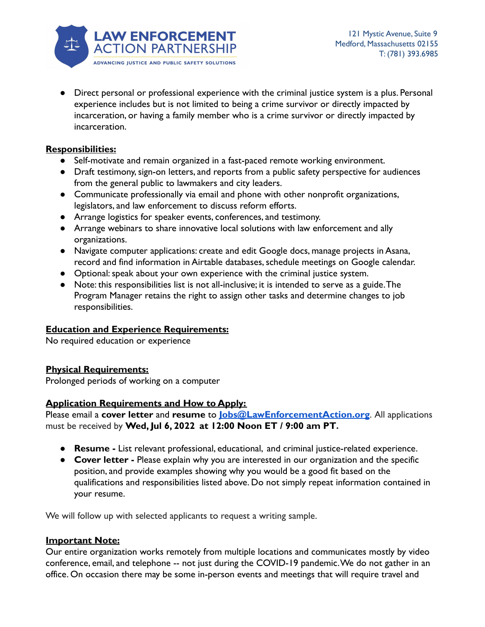

● Direct personal or professional experience with the criminal justice system is a plus. Personal experience includes but is not limited to being a crime survivor or directly impacted by incarceration, or having a family member who is a crime survivor or directly impacted by incarceration.

## **Responsibilities:**

- Self-motivate and remain organized in a fast-paced remote working environment.
- Draft testimony, sign-on letters, and reports from a public safety perspective for audiences from the general public to lawmakers and city leaders.
- Communicate professionally via email and phone with other nonprofit organizations, legislators, and law enforcement to discuss reform efforts.
- Arrange logistics for speaker events, conferences, and testimony.
- Arrange webinars to share innovative local solutions with law enforcement and ally organizations.
- Navigate computer applications: create and edit Google docs, manage projects in Asana, record and find information in Airtable databases, schedule meetings on Google calendar.
- Optional: speak about your own experience with the criminal justice system.
- Note: this responsibilities list is not all-inclusive; it is intended to serve as a guide.The Program Manager retains the right to assign other tasks and determine changes to job responsibilities.

## **Education and Experience Requirements:**

No required education or experience

## **Physical Requirements:**

Prolonged periods of working on a computer

## **Application Requirements and How to Apply:**

Please email a **cover letter** and **resume** to **[Jobs@LawEnforcementAction.org](mailto:Jobs@LawEnforcementAction.org)**. All applications must be received by **Wed, Jul 6, 2022 at 12:00 Noon ET / 9:00 am PT.**

- **● Resume -** List relevant professional, educational, and criminal justice-related experience.
- **● Cover letter -** Please explain why you are interested in our organization and the specific position, and provide examples showing why you would be a good fit based on the qualifications and responsibilities listed above. Do not simply repeat information contained in your resume.

We will follow up with selected applicants to request a writing sample.

#### **Important Note:**

Our entire organization works remotely from multiple locations and communicates mostly by video conference, email, and telephone -- not just during the COVID-19 pandemic.We do not gather in an office. On occasion there may be some in-person events and meetings that will require travel and